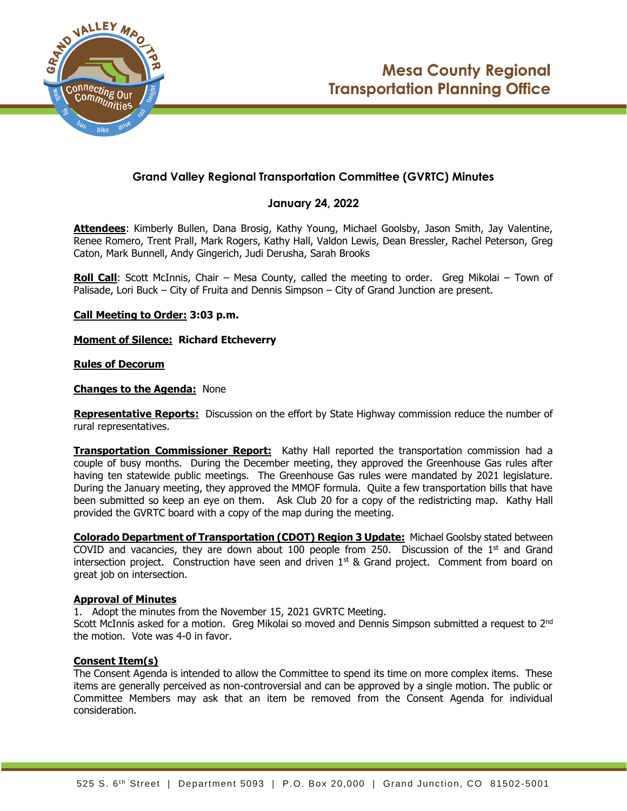

# **Grand Valley Regional Transportation Committee (GVRTC) Minutes**

# **January 24, 2022**

**Attendees**: Kimberly Bullen, Dana Brosig, Kathy Young, Michael Goolsby, Jason Smith, Jay Valentine, Renee Romero, Trent Prall, Mark Rogers, Kathy Hall, Valdon Lewis, Dean Bressler, Rachel Peterson, Greg Caton, Mark Bunnell, Andy Gingerich, Judi Derusha, Sarah Brooks

**Roll Call**: Scott McInnis, Chair – Mesa County, called the meeting to order. Greg Mikolai – Town of Palisade, Lori Buck – City of Fruita and Dennis Simpson – City of Grand Junction are present.

**Call Meeting to Order: 3:03 p.m.**

**Moment of Silence: Richard Etcheverry**

## **Rules of Decorum**

## **Changes to the Agenda:** None

**Representative Reports:** Discussion on the effort by State Highway commission reduce the number of rural representatives.

**Transportation Commissioner Report:** Kathy Hall reported the transportation commission had a couple of busy months. During the December meeting, they approved the Greenhouse Gas rules after having ten statewide public meetings. The Greenhouse Gas rules were mandated by 2021 legislature. During the January meeting, they approved the MMOF formula. Quite a few transportation bills that have been submitted so keep an eye on them. Ask Club 20 for a copy of the redistricting map. Kathy Hall provided the GVRTC board with a copy of the map during the meeting.

**Colorado Department of Transportation (CDOT) Region 3 Update:** Michael Goolsby stated between COVID and vacancies, they are down about  $100$  people from 250. Discussion of the  $1<sup>st</sup>$  and Grand intersection project. Construction have seen and driven  $1<sup>st</sup>$  & Grand project. Comment from board on great job on intersection.

## **Approval of Minutes**

1. Adopt the minutes from the November 15, 2021 GVRTC Meeting.

Scott McInnis asked for a motion. Greg Mikolai so moved and Dennis Simpson submitted a request to 2<sup>nd</sup> the motion. Vote was 4-0 in favor.

# **Consent Item(s)**

The Consent Agenda is intended to allow the Committee to spend its time on more complex items. These items are generally perceived as non-controversial and can be approved by a single motion. The public or Committee Members may ask that an item be removed from the Consent Agenda for individual consideration.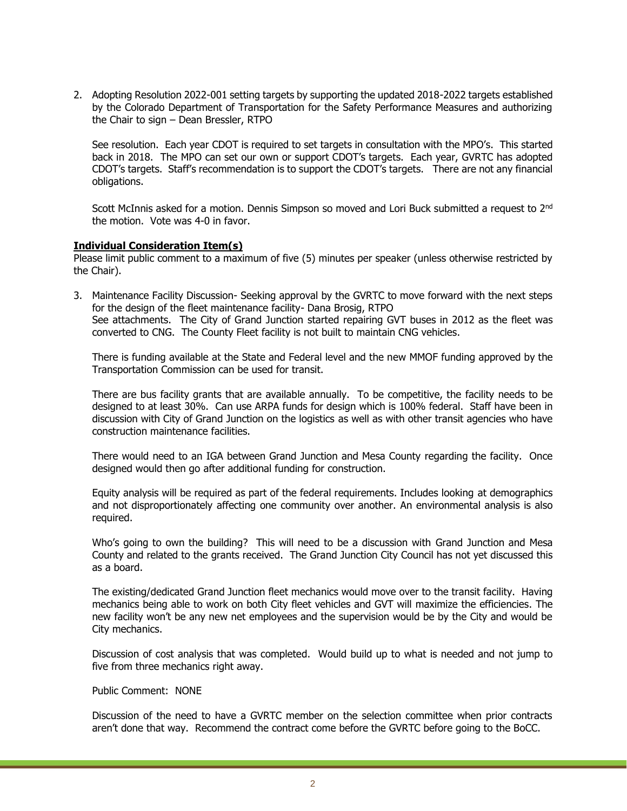2. Adopting Resolution 2022-001 setting targets by supporting the updated 2018-2022 targets established by the Colorado Department of Transportation for the Safety Performance Measures and authorizing the Chair to sign – Dean Bressler, RTPO

See resolution. Each year CDOT is required to set targets in consultation with the MPO's. This started back in 2018. The MPO can set our own or support CDOT's targets. Each year, GVRTC has adopted CDOT's targets. Staff's recommendation is to support the CDOT's targets. There are not any financial obligations.

Scott McInnis asked for a motion. Dennis Simpson so moved and Lori Buck submitted a request to 2<sup>nd</sup> the motion. Vote was 4-0 in favor.

#### **Individual Consideration Item(s)**

Please limit public comment to a maximum of five (5) minutes per speaker (unless otherwise restricted by the Chair).

3. Maintenance Facility Discussion- Seeking approval by the GVRTC to move forward with the next steps for the design of the fleet maintenance facility- Dana Brosig, RTPO See attachments. The City of Grand Junction started repairing GVT buses in 2012 as the fleet was converted to CNG. The County Fleet facility is not built to maintain CNG vehicles.

There is funding available at the State and Federal level and the new MMOF funding approved by the Transportation Commission can be used for transit.

There are bus facility grants that are available annually. To be competitive, the facility needs to be designed to at least 30%. Can use ARPA funds for design which is 100% federal. Staff have been in discussion with City of Grand Junction on the logistics as well as with other transit agencies who have construction maintenance facilities.

There would need to an IGA between Grand Junction and Mesa County regarding the facility. Once designed would then go after additional funding for construction.

Equity analysis will be required as part of the federal requirements. Includes looking at demographics and not disproportionately affecting one community over another. An environmental analysis is also required.

Who's going to own the building? This will need to be a discussion with Grand Junction and Mesa County and related to the grants received. The Grand Junction City Council has not yet discussed this as a board.

The existing/dedicated Grand Junction fleet mechanics would move over to the transit facility. Having mechanics being able to work on both City fleet vehicles and GVT will maximize the efficiencies. The new facility won't be any new net employees and the supervision would be by the City and would be City mechanics.

Discussion of cost analysis that was completed. Would build up to what is needed and not jump to five from three mechanics right away.

#### Public Comment: NONE

Discussion of the need to have a GVRTC member on the selection committee when prior contracts aren't done that way. Recommend the contract come before the GVRTC before going to the BoCC.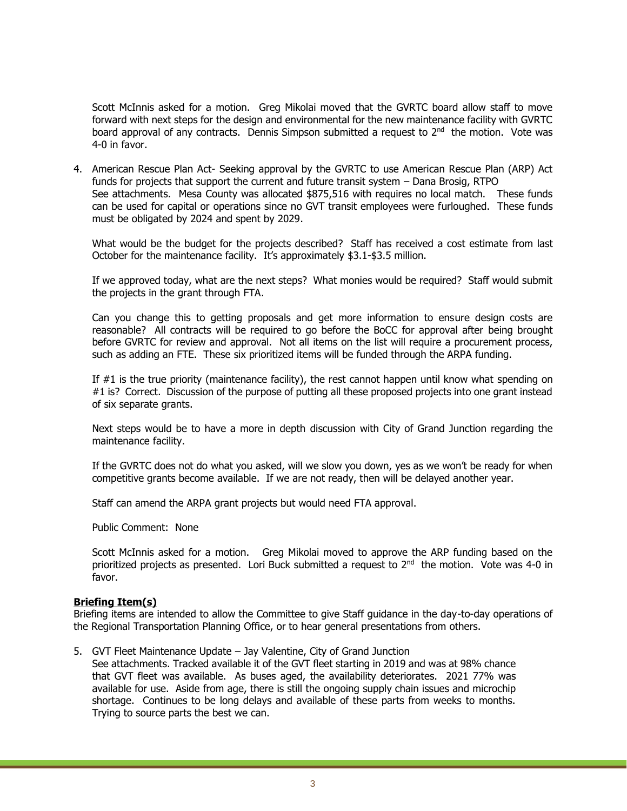Scott McInnis asked for a motion. Greg Mikolai moved that the GVRTC board allow staff to move forward with next steps for the design and environmental for the new maintenance facility with GVRTC board approval of any contracts. Dennis Simpson submitted a request to  $2<sup>nd</sup>$  the motion. Vote was 4-0 in favor.

4. American Rescue Plan Act- Seeking approval by the GVRTC to use American Rescue Plan (ARP) Act funds for projects that support the current and future transit system – Dana Brosig, RTPO See attachments. Mesa County was allocated \$875,516 with requires no local match. These funds can be used for capital or operations since no GVT transit employees were furloughed. These funds must be obligated by 2024 and spent by 2029.

What would be the budget for the projects described? Staff has received a cost estimate from last October for the maintenance facility. It's approximately \$3.1-\$3.5 million.

If we approved today, what are the next steps? What monies would be required? Staff would submit the projects in the grant through FTA.

Can you change this to getting proposals and get more information to ensure design costs are reasonable? All contracts will be required to go before the BoCC for approval after being brought before GVRTC for review and approval. Not all items on the list will require a procurement process, such as adding an FTE. These six prioritized items will be funded through the ARPA funding.

If #1 is the true priority (maintenance facility), the rest cannot happen until know what spending on #1 is? Correct. Discussion of the purpose of putting all these proposed projects into one grant instead of six separate grants.

Next steps would be to have a more in depth discussion with City of Grand Junction regarding the maintenance facility.

If the GVRTC does not do what you asked, will we slow you down, yes as we won't be ready for when competitive grants become available. If we are not ready, then will be delayed another year.

Staff can amend the ARPA grant projects but would need FTA approval.

Public Comment: None

Scott McInnis asked for a motion. Greg Mikolai moved to approve the ARP funding based on the prioritized projects as presented. Lori Buck submitted a request to 2<sup>nd</sup> the motion. Vote was 4-0 in favor.

#### **Briefing Item(s)**

Briefing items are intended to allow the Committee to give Staff guidance in the day-to-day operations of the Regional Transportation Planning Office, or to hear general presentations from others.

5. GVT Fleet Maintenance Update – Jay Valentine, City of Grand Junction

See attachments. Tracked available it of the GVT fleet starting in 2019 and was at 98% chance that GVT fleet was available. As buses aged, the availability deteriorates. 2021 77% was available for use. Aside from age, there is still the ongoing supply chain issues and microchip shortage. Continues to be long delays and available of these parts from weeks to months. Trying to source parts the best we can.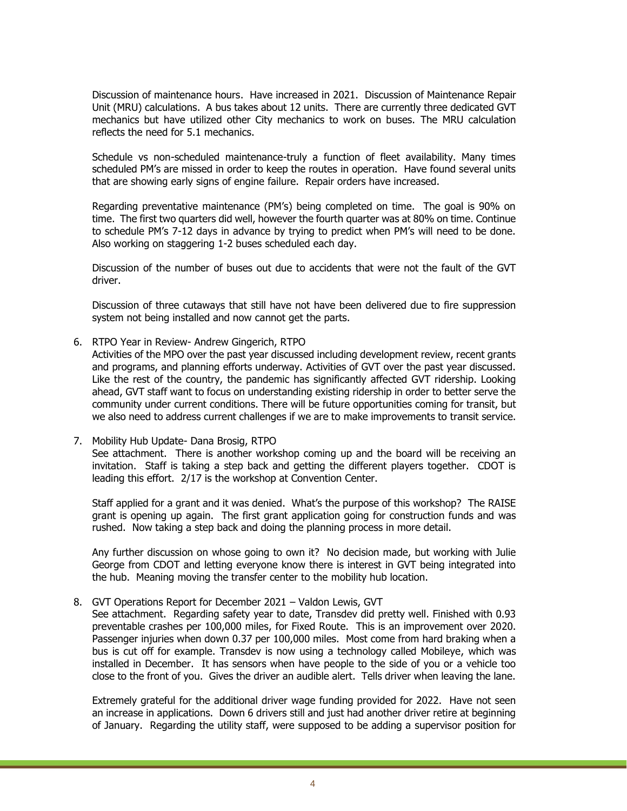Discussion of maintenance hours. Have increased in 2021. Discussion of Maintenance Repair Unit (MRU) calculations. A bus takes about 12 units. There are currently three dedicated GVT mechanics but have utilized other City mechanics to work on buses. The MRU calculation reflects the need for 5.1 mechanics.

Schedule vs non-scheduled maintenance-truly a function of fleet availability. Many times scheduled PM's are missed in order to keep the routes in operation. Have found several units that are showing early signs of engine failure. Repair orders have increased.

Regarding preventative maintenance (PM's) being completed on time. The goal is 90% on time. The first two quarters did well, however the fourth quarter was at 80% on time. Continue to schedule PM's 7-12 days in advance by trying to predict when PM's will need to be done. Also working on staggering 1-2 buses scheduled each day.

Discussion of the number of buses out due to accidents that were not the fault of the GVT driver.

Discussion of three cutaways that still have not have been delivered due to fire suppression system not being installed and now cannot get the parts.

6. RTPO Year in Review- Andrew Gingerich, RTPO

Activities of the MPO over the past year discussed including development review, recent grants and programs, and planning efforts underway. Activities of GVT over the past year discussed. Like the rest of the country, the pandemic has significantly affected GVT ridership. Looking ahead, GVT staff want to focus on understanding existing ridership in order to better serve the community under current conditions. There will be future opportunities coming for transit, but we also need to address current challenges if we are to make improvements to transit service.

## 7. Mobility Hub Update- Dana Brosig, RTPO See attachment. There is another workshop coming up and the board will be receiving an invitation. Staff is taking a step back and getting the different players together. CDOT is leading this effort. 2/17 is the workshop at Convention Center.

Staff applied for a grant and it was denied. What's the purpose of this workshop? The RAISE grant is opening up again. The first grant application going for construction funds and was rushed. Now taking a step back and doing the planning process in more detail.

Any further discussion on whose going to own it? No decision made, but working with Julie George from CDOT and letting everyone know there is interest in GVT being integrated into the hub. Meaning moving the transfer center to the mobility hub location.

8. GVT Operations Report for December 2021 – Valdon Lewis, GVT

See attachment. Regarding safety year to date, Transdev did pretty well. Finished with 0.93 preventable crashes per 100,000 miles, for Fixed Route. This is an improvement over 2020. Passenger injuries when down 0.37 per 100,000 miles. Most come from hard braking when a bus is cut off for example. Transdev is now using a technology called Mobileye, which was installed in December. It has sensors when have people to the side of you or a vehicle too close to the front of you. Gives the driver an audible alert. Tells driver when leaving the lane.

Extremely grateful for the additional driver wage funding provided for 2022. Have not seen an increase in applications. Down 6 drivers still and just had another driver retire at beginning of January. Regarding the utility staff, were supposed to be adding a supervisor position for